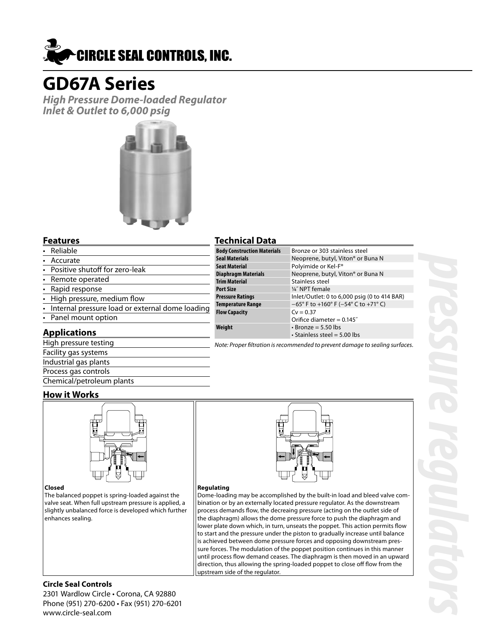

# **GD67A Series**

**High Pressure Dome-loaded Regulator Inlet & Outlet to 6,000 psig**



#### **Features**

- Reliable
- **Accurate**
- Positive shutoff for zero-leak
- Remote operated
- Rapid response
- High pressure, medium flow
- Internal pressure load or external dome loading
- Panel mount option

#### **Applications**

| High pressure testing     |
|---------------------------|
| Facility gas systems      |
| Industrial gas plants     |
| Process gas controls      |
| Chemical/petroleum plants |

### **Technical Data**

| .                                  |                                                                             |
|------------------------------------|-----------------------------------------------------------------------------|
| <b>Body Construction Materials</b> | Bronze or 303 stainless steel                                               |
| Seal Materials                     | Neoprene, butyl, Viton <sup>®</sup> or Buna N                               |
| Seat Material                      | Polyimide or Kel-F <sup>®</sup>                                             |
| Diaphragm Materials                | Neoprene, butyl, Viton <sup>®</sup> or Buna N                               |
| <b>Trim Material</b>               | Stainless steel                                                             |
| Port Size                          | 1/4" NPT female                                                             |
| Pressure Ratings                   | Inlet/Outlet: 0 to 6,000 psig (0 to 414 BAR)                                |
| Temperature Range                  | $-65^{\circ}$ F to +160 $^{\circ}$ F (-54 $^{\circ}$ C to +71 $^{\circ}$ C) |
| <b>Flow Capacity</b>               | $Cv = 0.37$                                                                 |
|                                    | Orifice diameter = $0.145$ "                                                |
| Weight                             | $\cdot$ Bronze = 5.50 lbs                                                   |
|                                    | $\cdot$ Stainless steel = 5.00 lbs                                          |

Note: Proper filtration is recommended to prevent damage to sealing surfaces.

#### **How it Works**



#### **Closed**

The balanced poppet is spring-loaded against the valve seat. When full upstream pressure is applied, a slightly unbalanced force is developed which further enhances sealing.



#### **Regulating**

Dome-loading may be accomplished by the built-in load and bleed valve combination or by an externally located pressure regulator. As the downstream process demands flow, the decreaing pressure (acting on the outlet side of the diaphragm) allows the dome pressure force to push the diaphragm and lower plate down which, in turn, unseats the poppet. This action permits flow to start and the pressure under the piston to gradually increase until balance is achieved between dome pressure forces and opposing downstream pressure forces. The modulation of the poppet position continues in this manner until process flow demand ceases. The diaphragm is then moved in an upward direction, thus allowing the spring-loaded poppet to close off flow from the upstream side of the regulator.

#### **Circle Seal Controls**

2301 Wardlow Circle • Corona, CA 92880 Phone (951) 270-6200 • Fax (951) 270-6201 www.circle-seal.com